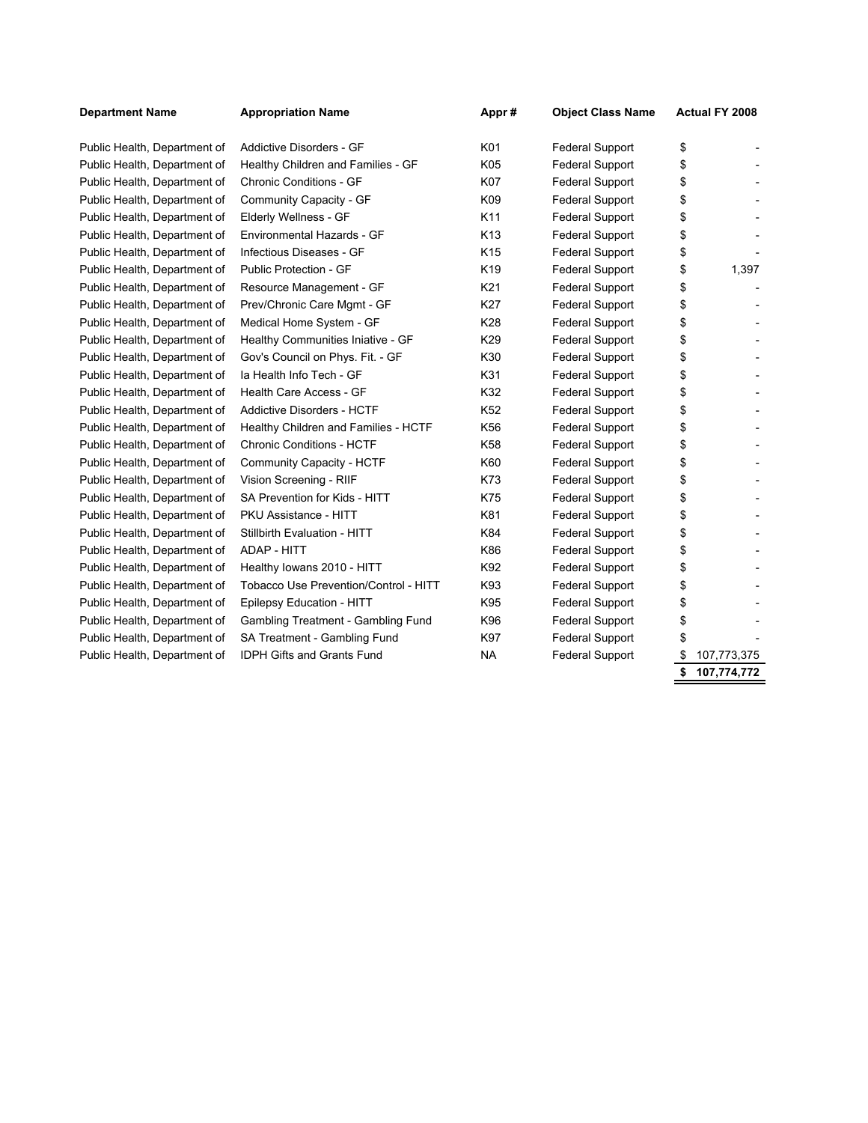| <b>Department Name</b>       | <b>Appropriation Name</b>             | Appr#           | <b>Object Class Name</b> | Actual FY 2008    |
|------------------------------|---------------------------------------|-----------------|--------------------------|-------------------|
| Public Health, Department of | Addictive Disorders - GF              | K01             | <b>Federal Support</b>   | \$                |
| Public Health, Department of | Healthy Children and Families - GF    | K05             | <b>Federal Support</b>   | \$                |
| Public Health, Department of | <b>Chronic Conditions - GF</b>        | <b>K07</b>      | <b>Federal Support</b>   | \$                |
| Public Health, Department of | Community Capacity - GF               | K09             | <b>Federal Support</b>   | \$                |
| Public Health, Department of | Elderly Wellness - GF                 | K11             | <b>Federal Support</b>   | \$                |
| Public Health, Department of | Environmental Hazards - GF            | K <sub>13</sub> | <b>Federal Support</b>   | \$                |
| Public Health, Department of | Infectious Diseases - GF              | K <sub>15</sub> | <b>Federal Support</b>   | \$                |
| Public Health, Department of | Public Protection - GF                | K <sub>19</sub> | <b>Federal Support</b>   | \$<br>1,397       |
| Public Health, Department of | Resource Management - GF              | K21             | <b>Federal Support</b>   | \$                |
| Public Health, Department of | Prev/Chronic Care Mgmt - GF           | K27             | <b>Federal Support</b>   | \$                |
| Public Health, Department of | Medical Home System - GF              | K28             | <b>Federal Support</b>   | \$                |
| Public Health, Department of | Healthy Communities Iniative - GF     | K29             | <b>Federal Support</b>   | \$                |
| Public Health, Department of | Gov's Council on Phys. Fit. - GF      | K30             | <b>Federal Support</b>   | \$                |
| Public Health, Department of | la Health Info Tech - GF              | K31             | <b>Federal Support</b>   | \$                |
| Public Health, Department of | Health Care Access - GF               | K32             | <b>Federal Support</b>   | \$                |
| Public Health, Department of | <b>Addictive Disorders - HCTF</b>     | K <sub>52</sub> | <b>Federal Support</b>   | \$                |
| Public Health, Department of | Healthy Children and Families - HCTF  | K56             | <b>Federal Support</b>   | \$                |
| Public Health, Department of | <b>Chronic Conditions - HCTF</b>      | K58             | <b>Federal Support</b>   | \$                |
| Public Health, Department of | Community Capacity - HCTF             | K60             | <b>Federal Support</b>   | \$                |
| Public Health, Department of | Vision Screening - RIIF               | K73             | <b>Federal Support</b>   | \$                |
| Public Health, Department of | SA Prevention for Kids - HITT         | K75             | <b>Federal Support</b>   | \$                |
| Public Health, Department of | PKU Assistance - HITT                 | K81             | <b>Federal Support</b>   | \$                |
| Public Health, Department of | Stillbirth Evaluation - HITT          | K84             | <b>Federal Support</b>   | \$                |
| Public Health, Department of | ADAP - HITT                           | K86             | <b>Federal Support</b>   | \$                |
| Public Health, Department of | Healthy Iowans 2010 - HITT            | K92             | <b>Federal Support</b>   | \$                |
| Public Health, Department of | Tobacco Use Prevention/Control - HITT | K93             | <b>Federal Support</b>   | \$                |
| Public Health, Department of | Epilepsy Education - HITT             | K95             | <b>Federal Support</b>   | \$                |
| Public Health, Department of | Gambling Treatment - Gambling Fund    | K96             | <b>Federal Support</b>   | \$                |
| Public Health, Department of | SA Treatment - Gambling Fund          | K97             | Federal Support          | \$                |
| Public Health, Department of | <b>IDPH Gifts and Grants Fund</b>     | <b>NA</b>       | <b>Federal Support</b>   | 107,773,375       |
|                              |                                       |                 |                          | \$<br>107,774,772 |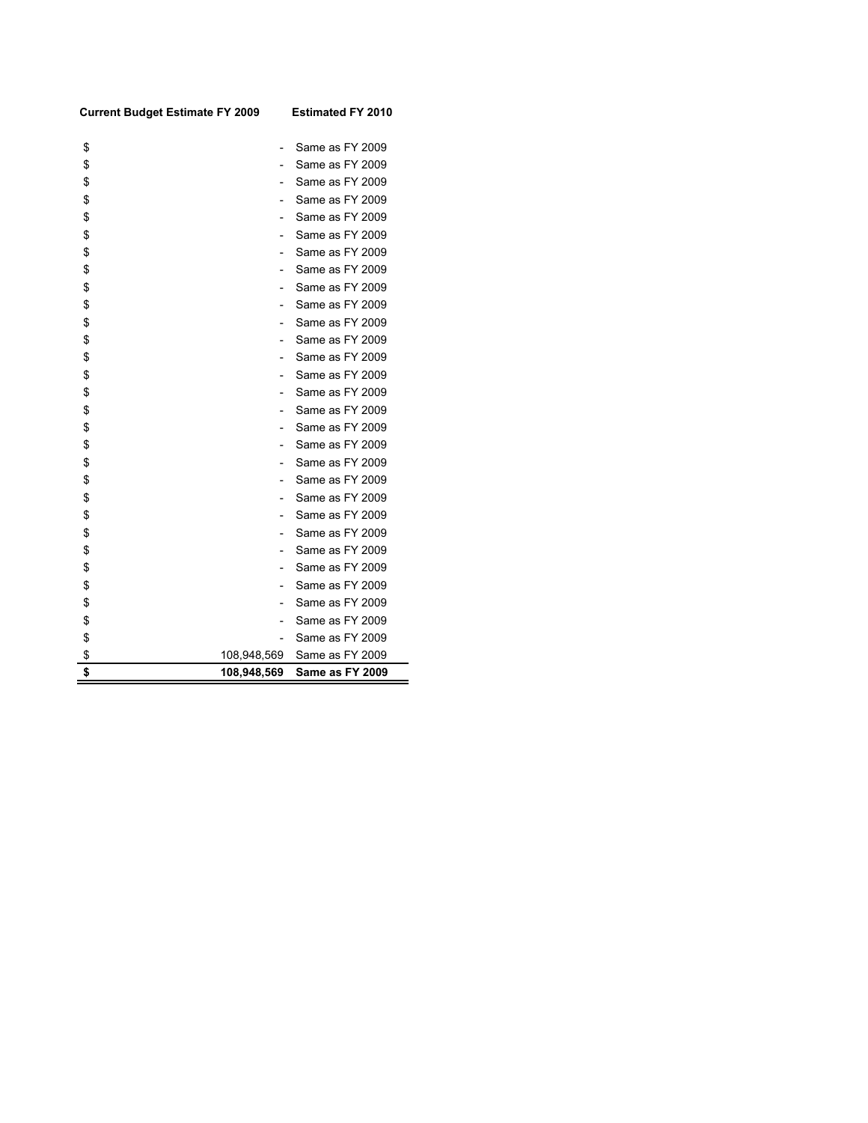| <b>Current Budget Estimate FY 2009</b> |                          | <b>Estimated FY 2010</b> |
|----------------------------------------|--------------------------|--------------------------|
| \$                                     | $\overline{\phantom{0}}$ | Same as FY 2009          |
| \$                                     | $\overline{\phantom{0}}$ | Same as FY 2009          |
| \$                                     |                          | Same as FY 2009          |
| \$                                     |                          | Same as FY 2009          |
| \$                                     |                          | Same as FY 2009          |
| \$                                     |                          | Same as FY 2009          |
| \$                                     | $\overline{a}$           | Same as FY 2009          |
| \$                                     | $\overline{a}$           | Same as FY 2009          |
| \$                                     | $\overline{a}$           | Same as FY 2009          |
| \$                                     | $\overline{\phantom{0}}$ | Same as FY 2009          |
| \$                                     |                          | Same as FY 2009          |
| \$                                     |                          | Same as FY 2009          |
| \$                                     | $\overline{a}$           | Same as FY 2009          |
| \$                                     |                          | Same as FY 2009          |
| \$                                     | $\overline{a}$           | Same as FY 2009          |
| \$                                     |                          | Same as FY 2009          |
| \$                                     | $\overline{a}$           | Same as FY 2009          |
| \$                                     | $\overline{a}$           | Same as FY 2009          |
| \$                                     | $\overline{a}$           | Same as FY 2009          |
| \$                                     | $\overline{a}$           | Same as FY 2009          |
| \$                                     |                          | Same as FY 2009          |
| \$                                     |                          | Same as FY 2009          |
| \$                                     | $\overline{\phantom{0}}$ | Same as FY 2009          |
| \$                                     |                          | Same as FY 2009          |
| \$                                     |                          | Same as FY 2009          |
| \$                                     | $\overline{a}$           | Same as FY 2009          |
| \$                                     | $\overline{\phantom{0}}$ | Same as FY 2009          |
| \$                                     | $\overline{\phantom{0}}$ | Same as FY 2009          |
| \$                                     |                          | Same as FY 2009          |
| \$                                     | 108,948,569              | Same as FY 2009          |
| \$                                     | 108,948,569              | Same as FY 2009          |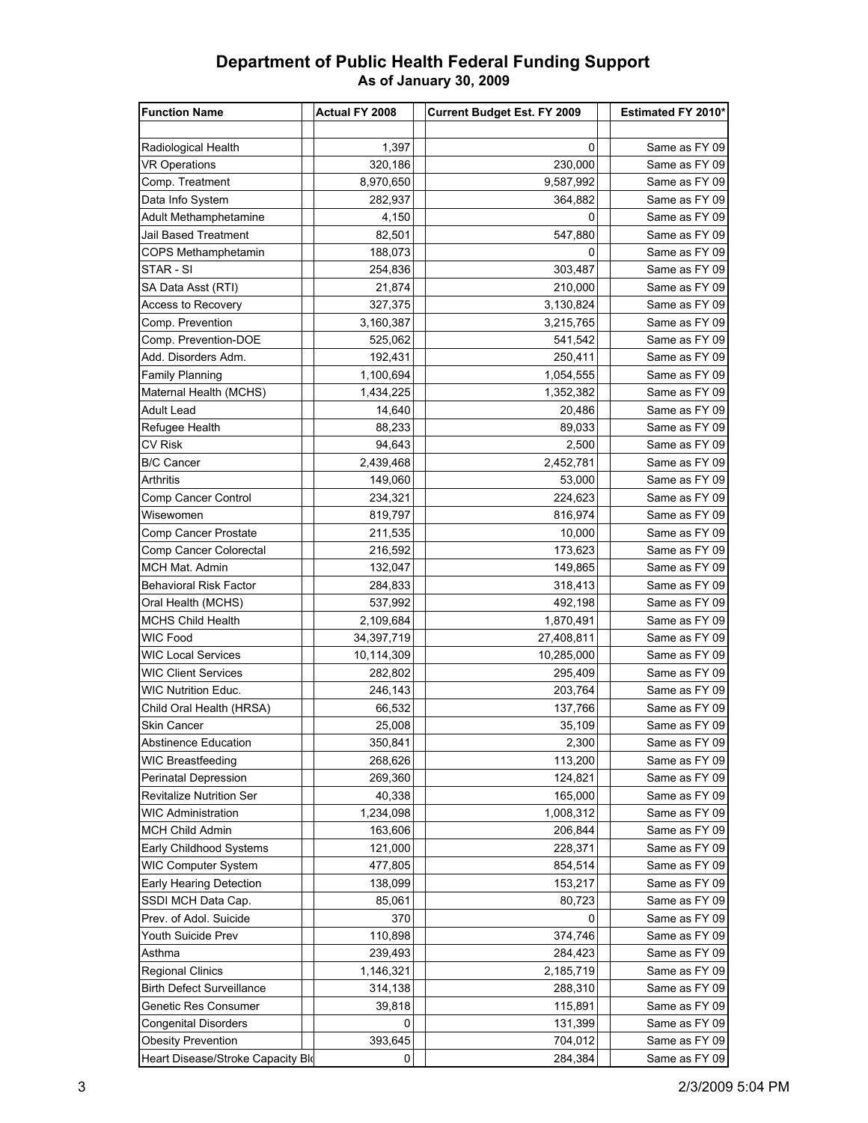## **Department of Public Health Federal Funding Support As of January 30, 2009**

| <b>Function Name</b>              | Actual FY 2008 | <b>Current Budget Est. FY 2009</b> | Estimated FY 2010* |
|-----------------------------------|----------------|------------------------------------|--------------------|
|                                   |                |                                    |                    |
| Radiological Health               | 1,397          | 0                                  | Same as FY 09      |
| <b>VR Operations</b>              | 320,186        | 230,000                            | Same as FY 09      |
| Comp. Treatment                   | 8,970,650      | 9,587,992                          | Same as FY 09      |
| Data Info System                  | 282,937        | 364,882                            | Same as FY 09      |
| <b>Adult Methamphetamine</b>      | 4,150          | 0                                  | Same as FY 09      |
| <b>Jail Based Treatment</b>       | 82,501         | 547,880                            | Same as FY 09      |
| COPS Methamphetamin               | 188,073        | 0                                  | Same as FY 09      |
| STAR - SI                         | 254,836        | 303,487                            | Same as FY 09      |
| SA Data Asst (RTI)                | 21,874         | 210,000                            | Same as FY 09      |
| <b>Access to Recovery</b>         | 327,375        | 3,130,824                          | Same as FY 09      |
| Comp. Prevention                  | 3,160,387      | 3,215,765                          | Same as FY 09      |
| Comp. Prevention-DOE              | 525,062        | 541,542                            | Same as FY 09      |
| Add. Disorders Adm.               | 192,431        | 250,411                            | Same as FY 09      |
| <b>Family Planning</b>            | 1,100,694      | 1,054,555                          | Same as FY 09      |
| Maternal Health (MCHS)            |                |                                    | Same as FY 09      |
|                                   | 1,434,225      | 1,352,382                          |                    |
| Adult Lead                        | 14,640         | 20,486                             | Same as FY 09      |
| Refugee Health                    | 88,233         | 89,033                             | Same as FY 09      |
| CV Risk                           | 94,643         | 2,500                              | Same as FY 09      |
| <b>B/C Cancer</b>                 | 2,439,468      | 2,452,781                          | Same as FY 09      |
| Arthritis                         | 149,060        | 53,000                             | Same as FY 09      |
| Comp Cancer Control               | 234,321        | 224,623                            | Same as FY 09      |
| Wisewomen                         | 819,797        | 816,974                            | Same as FY 09      |
| Comp Cancer Prostate              | 211,535        | 10,000                             | Same as FY 09      |
| Comp Cancer Colorectal            | 216,592        | 173,623                            | Same as FY 09      |
| MCH Mat. Admin                    | 132,047        | 149,865                            | Same as FY 09      |
| <b>Behavioral Risk Factor</b>     | 284,833        | 318,413                            | Same as FY 09      |
| Oral Health (MCHS)                | 537,992        | 492,198                            | Same as FY 09      |
| <b>MCHS Child Health</b>          | 2,109,684      | 1,870,491                          | Same as FY 09      |
| <b>WIC Food</b>                   | 34, 397, 719   | 27,408,811                         | Same as FY 09      |
| <b>WIC Local Services</b>         | 10,114,309     | 10,285,000                         | Same as FY 09      |
| <b>WIC Client Services</b>        | 282,802        | 295,409                            | Same as FY 09      |
| <b>WIC Nutrition Educ.</b>        | 246,143        | 203,764                            | Same as FY 09      |
| Child Oral Health (HRSA)          | 66,532         | 137,766                            | Same as FY 09      |
| Skin Cancer                       | 25,008         | 35,109                             | Same as FY 09      |
| Abstinence Education              | 350,841        | 2,300                              | Same as FY 09      |
| WIC Breastfeeding                 | 268,626        | 113,200                            | Same as FY 09      |
| Perinatal Depression              | 269,360        | 124,821                            | Same as FY 09      |
| <b>Revitalize Nutrition Ser</b>   | 40,338         | 165,000                            | Same as FY 09      |
| <b>WIC Administration</b>         | 1,234,098      | 1,008,312                          | Same as FY 09      |
| <b>MCH Child Admin</b>            | 163,606        | 206,844                            | Same as FY 09      |
| Early Childhood Systems           | 121,000        | 228,371                            | Same as FY 09      |
| <b>WIC Computer System</b>        | 477,805        | 854,514                            | Same as FY 09      |
| Early Hearing Detection           | 138,099        | 153,217                            | Same as FY 09      |
| SSDI MCH Data Cap.                | 85,061         | 80,723                             | Same as FY 09      |
| Prev. of Adol. Suicide            | 370            | 0                                  | Same as FY 09      |
| Youth Suicide Prev                | 110,898        | 374,746                            | Same as FY 09      |
| Asthma                            | 239,493        | 284,423                            | Same as FY 09      |
| <b>Regional Clinics</b>           | 1,146,321      | 2,185,719                          | Same as FY 09      |
| <b>Birth Defect Surveillance</b>  | 314,138        | 288,310                            | Same as FY 09      |
| Genetic Res Consumer              | 39,818         | 115,891                            | Same as FY 09      |
| <b>Congenital Disorders</b>       | 0              | 131,399                            | Same as FY 09      |
| <b>Obesity Prevention</b>         | 393,645        | 704,012                            | Same as FY 09      |
| Heart Disease/Stroke Capacity Blo | 0              | 284,384                            | Same as FY 09      |
|                                   |                |                                    |                    |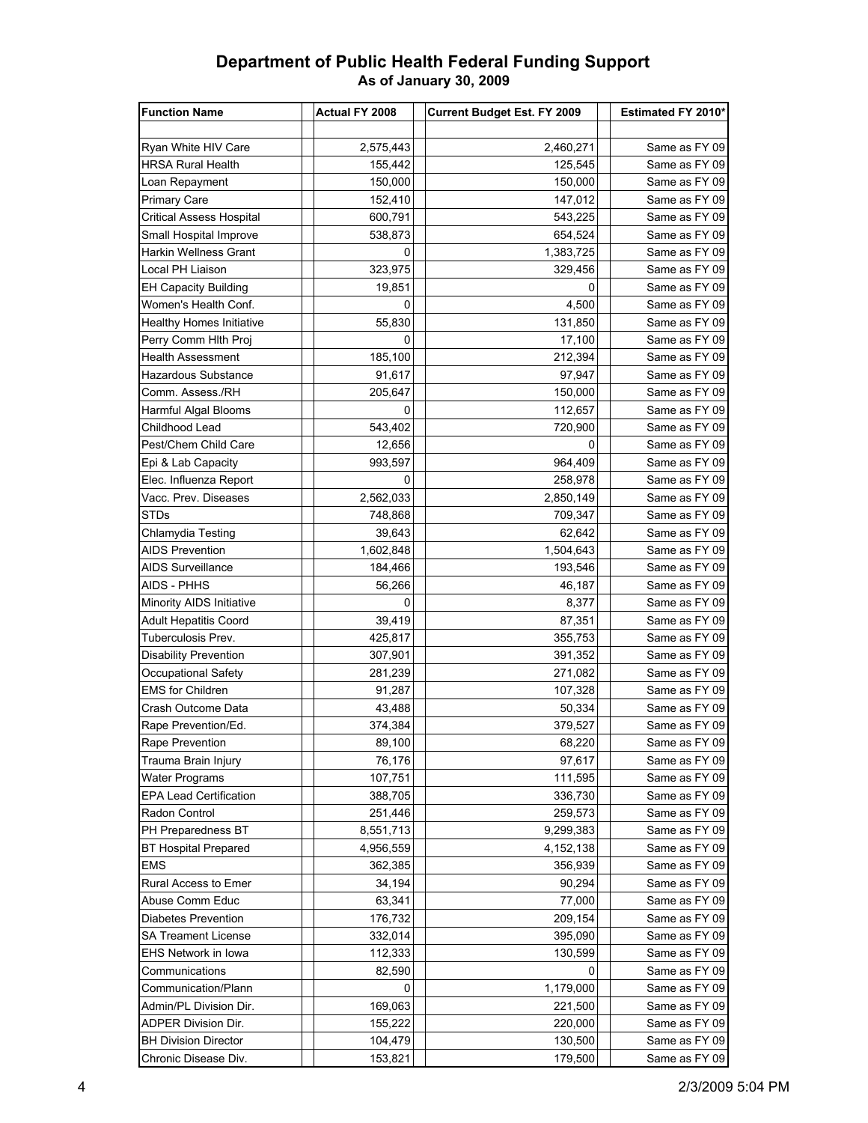## **Department of Public Health Federal Funding Support As of January 30, 2009**

| <b>Function Name</b>            | <b>Actual FY 2008</b> | <b>Current Budget Est. FY 2009</b> | Estimated FY 2010* |
|---------------------------------|-----------------------|------------------------------------|--------------------|
|                                 |                       |                                    |                    |
| Ryan White HIV Care             | 2,575,443             | 2,460,271                          | Same as FY 09      |
| HRSA Rural Health               | 155,442               | 125,545                            | Same as FY 09      |
| Loan Repayment                  | 150,000               | 150,000                            | Same as FY 09      |
| <b>Primary Care</b>             | 152,410               | 147,012                            | Same as FY 09      |
| <b>Critical Assess Hospital</b> | 600,791               | 543,225                            | Same as FY 09      |
| Small Hospital Improve          | 538,873               | 654,524                            | Same as FY 09      |
| <b>Harkin Wellness Grant</b>    | 0                     | 1,383,725                          | Same as FY 09      |
| Local PH Liaison                | 323,975               | 329,456                            | Same as FY 09      |
| <b>EH Capacity Building</b>     | 19,851                | 0                                  | Same as FY 09      |
| Women's Health Conf.            | 0                     | 4,500                              | Same as FY 09      |
| Healthy Homes Initiative        | 55,830                | 131,850                            | Same as FY 09      |
| Perry Comm Hith Proj            | 0                     | 17,100                             | Same as FY 09      |
| Health Assessment               | 185,100               | 212,394                            | Same as FY 09      |
| Hazardous Substance             | 91,617                | 97,947                             | Same as FY 09      |
| Comm. Assess./RH                | 205,647               | 150,000                            | Same as FY 09      |
| Harmful Algal Blooms            | 0                     | 112,657                            | Same as FY 09      |
| Childhood Lead                  | 543,402               | 720,900                            | Same as FY 09      |
| Pest/Chem Child Care            | 12,656                | 0                                  | Same as FY 09      |
| Epi & Lab Capacity              | 993,597               | 964,409                            | Same as FY 09      |
| Elec. Influenza Report          | 0                     | 258,978                            | Same as FY 09      |
| Vacc. Prev. Diseases            | 2,562,033             | 2,850,149                          | Same as FY 09      |
| <b>STDs</b>                     | 748,868               | 709,347                            | Same as FY 09      |
| Chlamydia Testing               | 39,643                | 62,642                             | Same as FY 09      |
| AIDS Prevention                 | 1,602,848             | 1,504,643                          | Same as FY 09      |
| AIDS Surveillance               | 184,466               | 193,546                            | Same as FY 09      |
| AIDS - PHHS                     | 56,266                | 46,187                             | Same as FY 09      |
| Minority AIDS Initiative        | 0                     | 8,377                              | Same as FY 09      |
| <b>Adult Hepatitis Coord</b>    | 39,419                | 87,351                             | Same as FY 09      |
| Tuberculosis Prev.              | 425,817               | 355,753                            | Same as FY 09      |
| <b>Disability Prevention</b>    | 307,901               | 391,352                            | Same as FY 09      |
| Occupational Safety             | 281,239               | 271,082                            | Same as FY 09      |
| <b>EMS for Children</b>         | 91,287                | 107,328                            | Same as FY 09      |
| Crash Outcome Data              | 43,488                | 50,334                             | Same as FY 09      |
| Rape Prevention/Ed.             | 374,384               | 379,527                            | Same as FY 09      |
| Rape Prevention                 | 89,100                | 68,220                             | Same as FY 09      |
| Trauma Brain Injury             | 76,176                | 97,617                             | Same as FY 09      |
| <b>Water Programs</b>           | 107,751               | 111,595                            | Same as FY 09      |
| <b>EPA Lead Certification</b>   | 388,705               | 336,730                            | Same as FY 09      |
| Radon Control                   | 251,446               | 259,573                            | Same as FY 09      |
| PH Preparedness BT              | 8,551,713             | 9,299,383                          | Same as FY 09      |
| <b>BT Hospital Prepared</b>     | 4,956,559             | 4, 152, 138                        | Same as FY 09      |
| <b>EMS</b>                      | 362,385               | 356,939                            | Same as FY 09      |
| Rural Access to Emer            | 34,194                | 90,294                             | Same as FY 09      |
| Abuse Comm Educ                 | 63,341                | 77,000                             | Same as FY 09      |
| <b>Diabetes Prevention</b>      | 176,732               | 209,154                            | Same as FY 09      |
| <b>SA Treament License</b>      | 332,014               | 395,090                            | Same as FY 09      |
| EHS Network in Iowa             | 112,333               | 130,599                            | Same as FY 09      |
| Communications                  | 82,590                | 0                                  | Same as FY 09      |
| Communication/Plann             | 0                     | 1,179,000                          | Same as FY 09      |
| Admin/PL Division Dir.          | 169,063               | 221,500                            | Same as FY 09      |
| <b>ADPER Division Dir.</b>      | 155,222               | 220,000                            | Same as FY 09      |
| <b>BH Division Director</b>     | 104,479               | 130,500                            | Same as FY 09      |
| Chronic Disease Div.            | 153,821               | 179,500                            | Same as FY 09      |